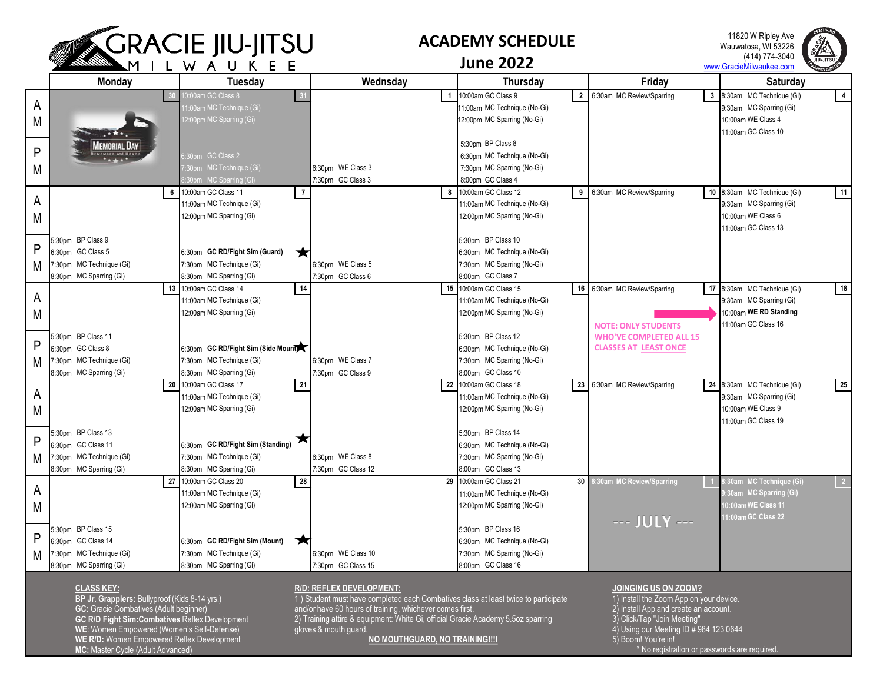

## **ACADEMY SCHEDULE**

11820 W Ripley Ave Wauwatosa, WI 53226 (414) 774-3040 www.GracieMilwaukee.com



**June 2022**

|   | Monday                   | .<br>. .<br><b>Tuesday</b>          | Wednsday           | Thursday                                  | Friday                                    | Saturday                                   |
|---|--------------------------|-------------------------------------|--------------------|-------------------------------------------|-------------------------------------------|--------------------------------------------|
|   |                          | 0:00am GC Class 8                   | $\overline{1}$     | 10:00am GC Class 9<br>$\overline{2}$      | 6:30am MC Review/Sparring<br>$\mathbf{3}$ | 8:30am MC Technique (Gi)<br>$\overline{4}$ |
| A |                          | 11:00am MC Technique (Gi)           |                    | 1:00am MC Technique (No-Gi)               |                                           | 9:30am MC Sparring (Gi)                    |
| M |                          | 12:00pm MC Sparring (Gi)            |                    | 12:00pm MC Sparring (No-Gi)               |                                           | 10:00am WE Class 4                         |
|   | $H^*$                    |                                     |                    |                                           |                                           | 11:00am GC Class 10                        |
|   | Memorial Day             |                                     |                    | 5:30pm BP Class 8                         |                                           |                                            |
| P | <b>EMEMBER and HONO</b>  | $30pm$ GC Class 2                   |                    | 6:30pm MC Technique (No-Gi)               |                                           |                                            |
| M |                          | :30pm MC Technique (Gi)             | 6:30pm WE Class 3  | 7:30pm MC Sparring (No-Gi)                |                                           |                                            |
|   |                          | :30pm MC Sparring (Gi)              | 7:30pm GC Class 3  | 8:00pm GC Class 4                         |                                           |                                            |
|   | 6                        | 10:00am GC Class 11                 | 8                  | 10:00am GC Class 12<br>9                  | 6:30am MC Review/Sparring                 | 11<br>10 8:30am MC Technique (Gi)          |
| A |                          | 11:00am MC Technique (Gi)           |                    | 11:00am MC Technique (No-Gi)              |                                           | 9:30am MC Sparring (Gi)                    |
| M |                          | 12:00pm MC Sparring (Gi)            |                    | 12:00pm MC Sparring (No-Gi)               |                                           | 10:00am WE Class 6                         |
|   |                          |                                     |                    |                                           |                                           | 11:00am GC Class 13                        |
|   | 5:30pm BP Class 9        |                                     |                    | 5:30pm BP Class 10                        |                                           |                                            |
| P | 6:30pm GC Class 5        | 6:30pm GC RD/Fight Sim (Guard)<br>★ |                    | 6:30pm MC Technique (No-Gi)               |                                           |                                            |
| M | 7:30pm MC Technique (Gi) | 7:30pm MC Technique (Gi)            | 6:30pm WE Class 5  | 7:30pm MC Sparring (No-Gi)                |                                           |                                            |
|   | 3:30pm MC Sparring (Gi)  | 8:30pm MC Sparring (Gi)             | 7:30pm GC Class 6  | 8:00pm GC Class 7                         |                                           |                                            |
|   |                          | 13 10:00am GC Class 14<br>14        |                    | 15 10:00am GC Class 15                    | 16 6:30am MC Review/Sparring              | 17 8:30am MC Technique (Gi)<br>18          |
| A |                          | 11:00am MC Technique (Gi)           |                    | 11:00am MC Technique (No-Gi)              |                                           | 9:30am MC Sparring (Gi)                    |
| M |                          | 12:00am MC Sparring (Gi)            |                    | 12:00pm MC Sparring (No-Gi)               |                                           | 10:00am WE RD Standing                     |
|   |                          |                                     |                    |                                           | <b>NOTE: ONLY STUDENTS</b>                | 11:00am GC Class 16                        |
|   | 5:30pm BP Class 11       |                                     |                    | 5:30pm BP Class 12                        | <b>WHO'VE COMPLETED ALL 15</b>            |                                            |
| P | 6:30pm GC Class 8        | 6:30pm GC RD/Fight Sim (Side Mount) |                    | 6:30pm MC Technique (No-Gi)               | <b>CLASSES AT LEAST ONCE</b>              |                                            |
| M | :30pm MC Technique (Gi)  | 7:30pm MC Technique (Gi)            | 6:30pm WE Class 7  | 7:30pm MC Sparring (No-Gi)                |                                           |                                            |
|   | 8:30pm MC Sparring (Gi)  | 8:30pm MC Sparring (Gi)             | 7:30pm GC Class 9  | 8:00pm GC Class 10                        |                                           |                                            |
|   |                          | 21<br>20 10:00am GC Class 17        |                    | 22 10:00am GC Class 18                    | 23 6:30am MC Review/Sparring              | 24 8:30am MC Technique (Gi)<br>25          |
| A |                          | 11:00am MC Technique (Gi)           |                    | 11:00am MC Technique (No-Gi)              |                                           | 9:30am MC Sparring (Gi)                    |
| M |                          | 12:00am MC Sparring (Gi)            |                    | 12:00pm MC Sparring (No-Gi)               |                                           | 10:00am WE Class 9                         |
|   |                          |                                     |                    |                                           |                                           | 11:00am GC Class 19                        |
|   | 5:30pm BP Class 13       | ▼                                   |                    | 5:30pm BP Class 14                        |                                           |                                            |
| P | 6:30pm GC Class 11       | 6:30pm GC RD/Fight Sim (Standing)   |                    | 6:30pm MC Technique (No-Gi)               |                                           |                                            |
| M | 7:30pm MC Technique (Gi) | 7:30pm MC Technique (Gi)            | 6:30pm WE Class 8  | 7:30pm MC Sparring (No-Gi)                |                                           |                                            |
|   | 8:30pm MC Sparring (Gi)  | 8:30pm MC Sparring (Gi)             | 7:30pm GC Class 12 | 8:00pm GC Class 13                        |                                           |                                            |
| A |                          | 28<br>27 10:00am GC Class 20        |                    | 29 10:00am GC Class 21<br>30 <sup>1</sup> | 6:30am MC Review/Sparring                 | 3:30am MC Technique (Gi)<br>$\sqrt{2}$     |
|   |                          | 11:00am MC Technique (Gi)           |                    | 11:00am MC Technique (No-Gi)              |                                           | :30am MC Sparring (Gi)                     |
| M |                          | 12:00am MC Sparring (Gi)            |                    | 12:00pm MC Sparring (No-Gi)               |                                           | 10:00am WE Class 11                        |
|   |                          |                                     |                    |                                           | --- JULY ---                              | 11:00am GC Class 22                        |
| P | 5:30pm BP Class 15       |                                     |                    | 5:30pm BP Class 16                        |                                           |                                            |
|   | 6:30pm GC Class 14       | 6:30pm GC RD/Fight Sim (Mount)<br>Ж |                    | 6:30pm MC Technique (No-Gi)               |                                           |                                            |
| M | 7:30pm MC Technique (Gi) | 7:30pm MC Technique (Gi)            | 6:30pm WE Class 10 | 7:30pm MC Sparring (No-Gi)                |                                           |                                            |
|   | 8:30pm MC Sparring (Gi)  | 8:30pm MC Sparring (Gi)             | 7:30pm GC Class 15 | 8:00pm GC Class 16                        |                                           |                                            |

## **CLASS KEY:**

**BP Jr. Grapplers:** Bullyproof (Kids 8-14 yrs.) **GC:** Gracie Combatives (Adult beginner) **GC R/D Fight Sim:Combatives** Reflex Development **WE**: Women Empowered (Women's Self-Defense) **WE R/D:** Women Empowered Reflex Development **MC:** Master Cycle (Adult Advanced)

## **R/D: REFLEX DEVELOPMENT:**

1 ) Student must have completed each Combatives class at least twice to participate and/or have 60 hours of training, whichever comes first.

2) Training attire & equipment: White Gi, official Gracie Academy 5.5oz sparring gloves & mouth guard.

**NO MOUTHGUARD, NO TRAINING!!!!**

## **JOINGING US ON ZOOM?**

1) Install the Zoom App on your device. 2) Install App and create an account. 3) Click/Tap "Join Meeting" 4) Using our Meeting ID # 984 123 0644 5) Boom! You're in! \* No registration or passwords are required.